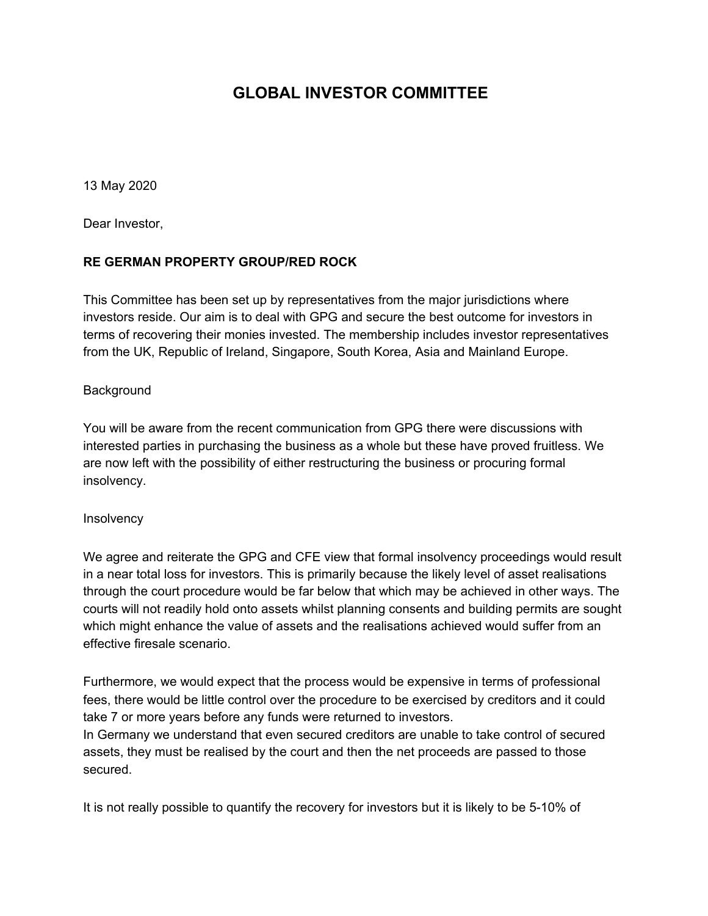### **GLOBAL INVESTOR COMMITTEE**

13 May 2020

Dear Investor,

#### **RE GERMAN PROPERTY GROUP/RED ROCK**

This Committee has been set up by representatives from the major jurisdictions where investors reside. Our aim is to deal with GPG and secure the best outcome for investors in terms of recovering their monies invested. The membership includes investor representatives from the UK, Republic of Ireland, Singapore, South Korea, Asia and Mainland Europe.

#### Background

You will be aware from the recent communication from GPG there were discussions with interested parties in purchasing the business as a whole but these have proved fruitless. We are now left with the possibility of either restructuring the business or procuring formal insolvency.

#### **Insolvency**

We agree and reiterate the GPG and CFE view that formal insolvency proceedings would result in a near total loss for investors. This is primarily because the likely level of asset realisations through the court procedure would be far below that which may be achieved in other ways. The courts will not readily hold onto assets whilst planning consents and building permits are sought which might enhance the value of assets and the realisations achieved would suffer from an effective firesale scenario.

Furthermore, we would expect that the process would be expensive in terms of professional fees, there would be little control over the procedure to be exercised by creditors and it could take 7 or more years before any funds were returned to investors.

In Germany we understand that even secured creditors are unable to take control of secured assets, they must be realised by the court and then the net proceeds are passed to those secured.

It is not really possible to quantify the recovery for investors but it is likely to be 5-10% of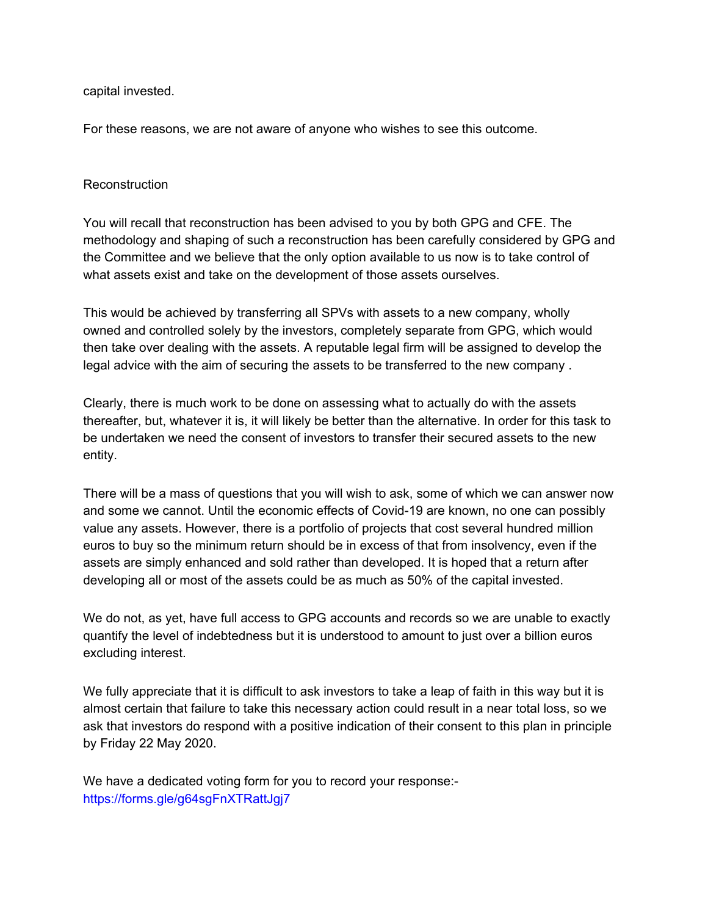capital invested.

For these reasons, we are not aware of anyone who wishes to see this outcome.

#### **Reconstruction**

You will recall that reconstruction has been advised to you by both GPG and CFE. The methodology and shaping of such a reconstruction has been carefully considered by GPG and the Committee and we believe that the only option available to us now is to take control of what assets exist and take on the development of those assets ourselves.

This would be achieved by transferring all SPVs with assets to a new company, wholly owned and controlled solely by the investors, completely separate from GPG, which would then take over dealing with the assets. A reputable legal firm will be assigned to develop the legal advice with the aim of securing the assets to be transferred to the new company .

Clearly, there is much work to be done on assessing what to actually do with the assets thereafter, but, whatever it is, it will likely be better than the alternative. In order for this task to be undertaken we need the consent of investors to transfer their secured assets to the new entity.

There will be a mass of questions that you will wish to ask, some of which we can answer now and some we cannot. Until the economic effects of Covid-19 are known, no one can possibly value any assets. However, there is a portfolio of projects that cost several hundred million euros to buy so the minimum return should be in excess of that from insolvency, even if the assets are simply enhanced and sold rather than developed. It is hoped that a return after developing all or most of the assets could be as much as 50% of the capital invested.

We do not, as yet, have full access to GPG accounts and records so we are unable to exactly quantify the level of indebtedness but it is understood to amount to just over a billion euros excluding interest.

We fully appreciate that it is difficult to ask investors to take a leap of faith in this way but it is almost certain that failure to take this necessary action could result in a near total loss, so we ask that investors do respond with a positive indication of their consent to this plan in principle by Friday 22 May 2020.

We have a dedicated voting form for you to record your response: https://forms.gle/g64sgFnXTRattJgj7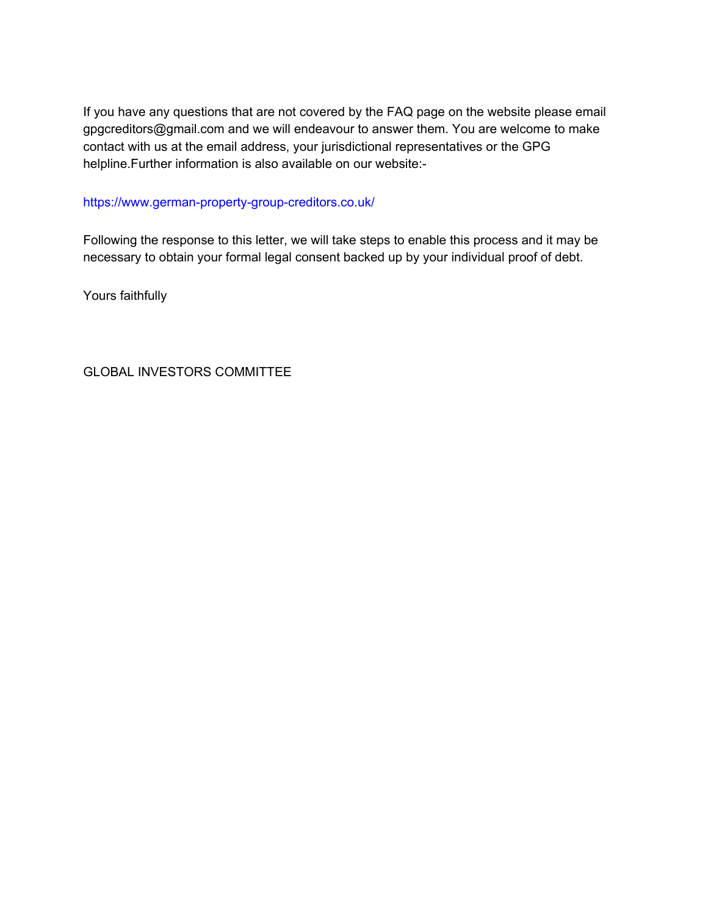If you have any questions that are not covered by the FAQ page on the website please email gpgcreditors@gmail.com and we will endeavour to answer them. You are welcome to make contact with us at the email address, your jurisdictional representatives or the GPG helpline.Further information is also available on our website:-

#### https://www.german-property-group-creditors.co.uk/

Following the response to this letter, we will take steps to enable this process and it may be necessary to obtain your formal legal consent backed up by your individual proof of debt.

Yours faithfully

GLOBAL INVESTORS COMMITTEE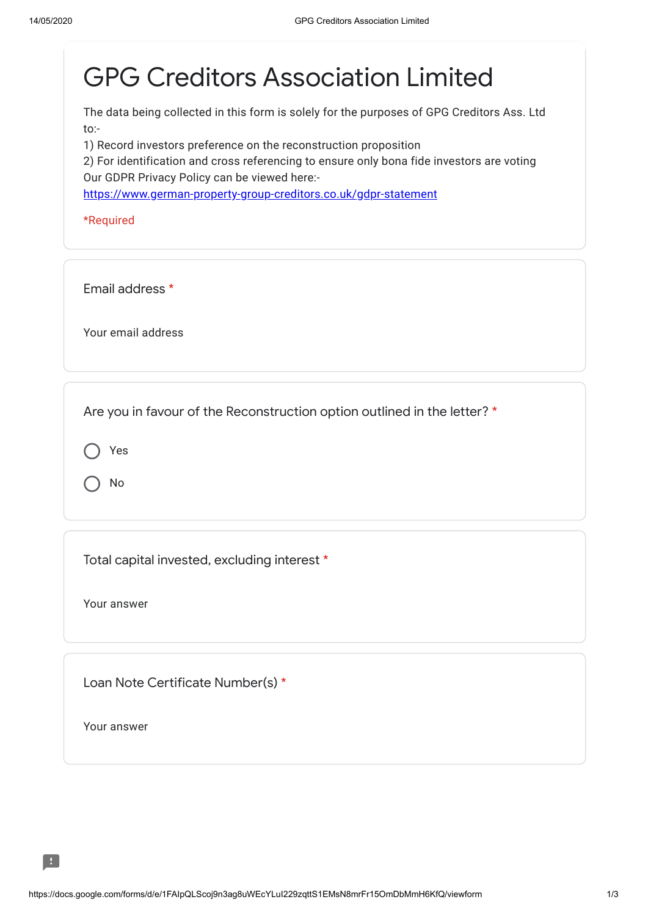# GPG Creditors Association Limited

The data being collected in this form is solely for the purposes of GPG Creditors Ass. Ltd to:-

1) Record investors preference on the reconstruction proposition

2) For identification and cross referencing to ensure only bona fide investors are voting Our GDPR Privacy Policy can be viewed here:-

[https://www.german-property-group-creditors.co.uk/gdpr-statement](https://www.google.com/url?q=https://www.german-property-group-creditors.co.uk/gdpr-statement&sa=D&ust=1589449508378000&usg=AFQjCNG1sxm_0EeT_GD2LBiVd3l2PU2afA)

\*Required

Email address \*

Your email address

Are you in favour of the Reconstruction option outlined in the letter? \*

Yes

No

Total capital invested, excluding interest \*

Your answer

Loan Note Certificate Number(s) \*

Your answer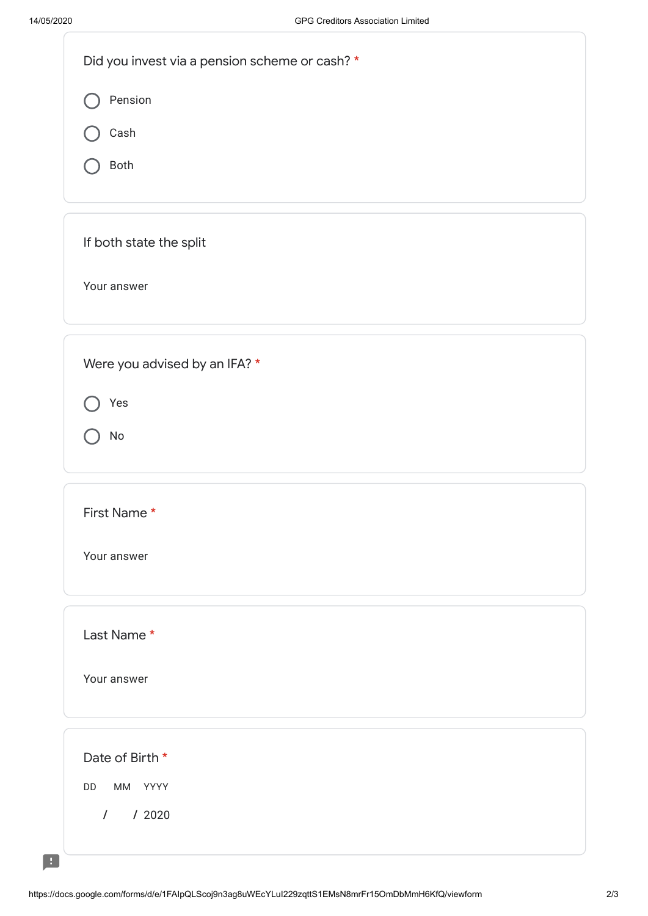$\blacksquare$ 

| Did you invest via a pension scheme or cash? * |
|------------------------------------------------|
| Pension                                        |
| Cash                                           |
| Both                                           |
|                                                |
| If both state the split                        |
| Your answer                                    |
|                                                |
| Were you advised by an IFA? *                  |
| Yes                                            |
| No                                             |
|                                                |
| First Name*                                    |
| Your answer                                    |
|                                                |
| Last Name*                                     |
| Your answer                                    |
|                                                |
| Date of Birth *                                |
| MM YYYY<br>DD                                  |
| $\sqrt{2}$<br>/2020                            |